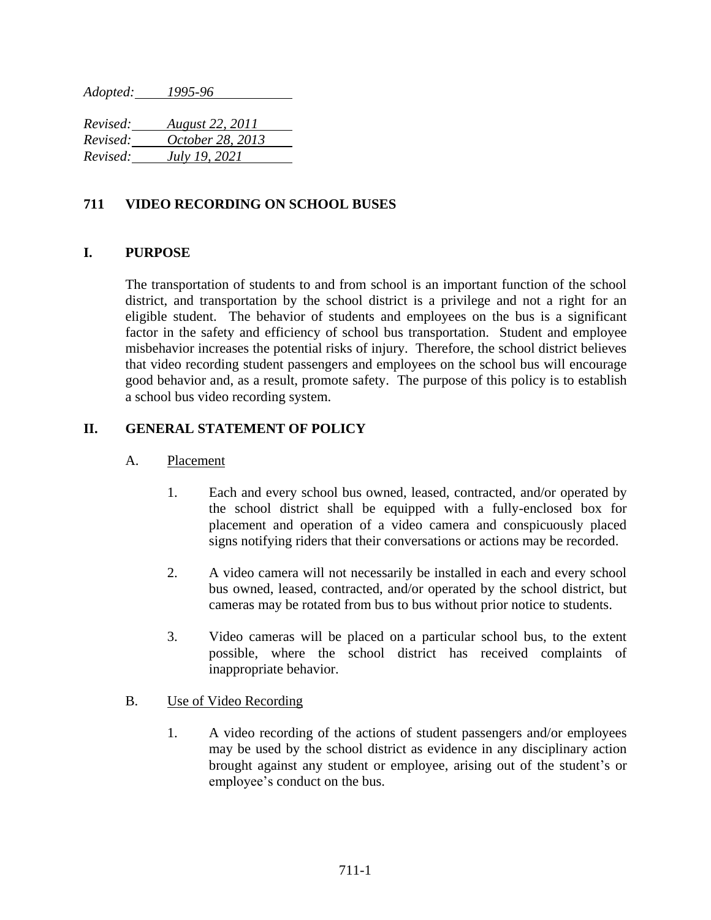*Adopted: 1995-96*

*Revised: August 22, 2011 Revised: October 28, 2013 Revised: July 19, 2021*

# **711 VIDEO RECORDING ON SCHOOL BUSES**

## **I. PURPOSE**

The transportation of students to and from school is an important function of the school district, and transportation by the school district is a privilege and not a right for an eligible student. The behavior of students and employees on the bus is a significant factor in the safety and efficiency of school bus transportation. Student and employee misbehavior increases the potential risks of injury. Therefore, the school district believes that video recording student passengers and employees on the school bus will encourage good behavior and, as a result, promote safety. The purpose of this policy is to establish a school bus video recording system.

## **II. GENERAL STATEMENT OF POLICY**

### A. Placement

- 1. Each and every school bus owned, leased, contracted, and/or operated by the school district shall be equipped with a fully-enclosed box for placement and operation of a video camera and conspicuously placed signs notifying riders that their conversations or actions may be recorded.
- 2. A video camera will not necessarily be installed in each and every school bus owned, leased, contracted, and/or operated by the school district, but cameras may be rotated from bus to bus without prior notice to students.
- 3. Video cameras will be placed on a particular school bus, to the extent possible, where the school district has received complaints of inappropriate behavior.

## B. Use of Video Recording

1. A video recording of the actions of student passengers and/or employees may be used by the school district as evidence in any disciplinary action brought against any student or employee, arising out of the student's or employee's conduct on the bus.